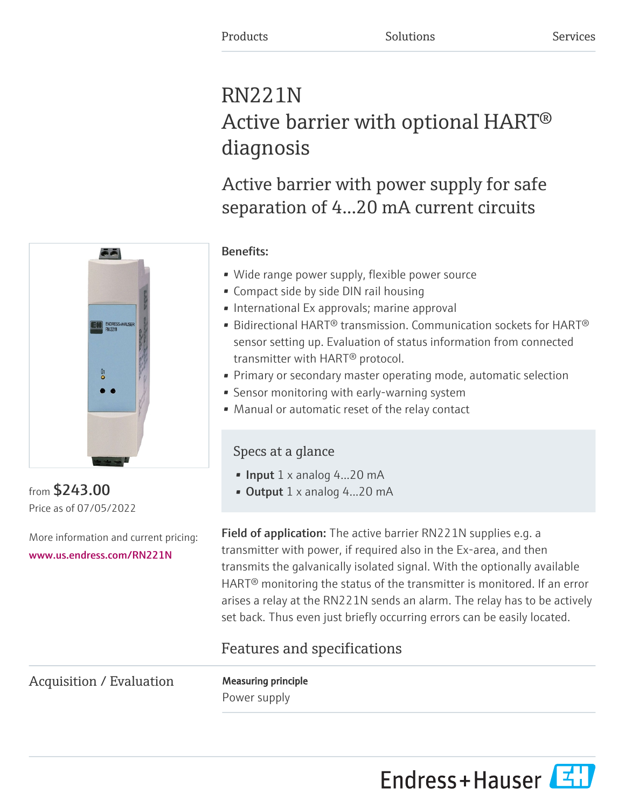# RN221N Active barrier with optional HART® diagnosis

Active barrier with power supply for safe separation of 4...20 mA current circuits



from \$243.00 Price as of 07/05/2022

More information and current pricing: [www.us.endress.com/RN221N](https://www.us.endress.com/RN221N)

# Benefits:

- Wide range power supply, flexible power source
- Compact side by side DIN rail housing
- International Ex approvals; marine approval
- Bidirectional HART<sup>®</sup> transmission. Communication sockets for HART<sup>®</sup> sensor setting up. Evaluation of status information from connected transmitter with HART® protocol.
- Primary or secondary master operating mode, automatic selection
- Sensor monitoring with early-warning system
- Manual or automatic reset of the relay contact

# Specs at a glance

- Input  $1 \times$  analog 4...20 mA
- Output  $1 \times$  analog 4...20 mA

Field of application: The active barrier RN221N supplies e.g. a transmitter with power, if required also in the Ex-area, and then transmits the galvanically isolated signal. With the optionally available HART® monitoring the status of the transmitter is monitored. If an error arises a relay at the RN221N sends an alarm. The relay has to be actively set back. Thus even just briefly occurring errors can be easily located.

# Features and specifications

Acquisition / Evaluation Measuring principle

Power supply

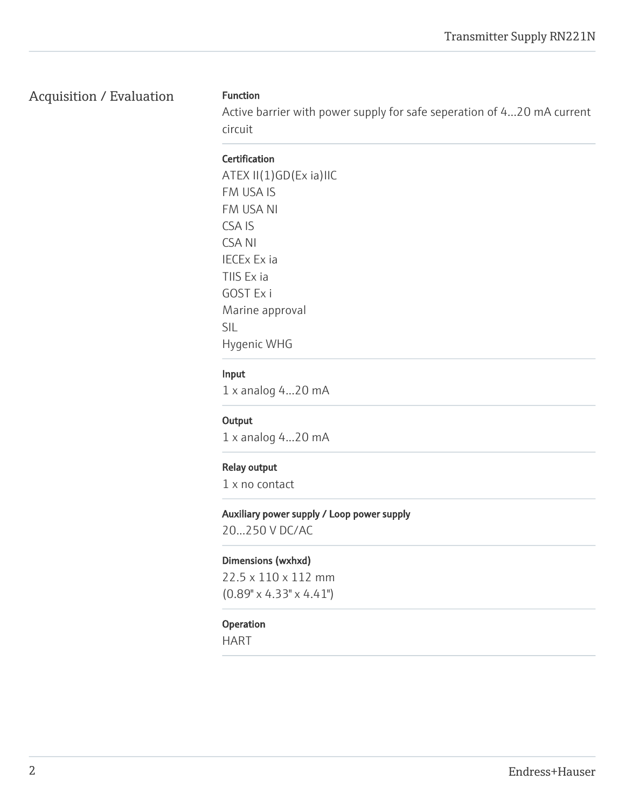# Acquisition / Evaluation Function

Active barrier with power supply for safe seperation of 4...20 mA current circuit

#### **Certification**

ATEX II(1)GD(Ex ia)IIC FM USA IS FM USA NI CSA IS CSA NI IECEx Ex ia TIIS Ex ia GOST Ex i Marine approval SIL Hygenic WHG

#### Input

1 x analog 4...20 mA

#### **Output**

1 x analog 4...20 mA

#### Relay output

1 x no contact

#### Auxiliary power supply / Loop power supply

20...250 V DC/AC

#### Dimensions (wxhxd)

22.5 x 110 x 112 mm (0.89" x 4.33" x 4.41")

#### Operation

HART